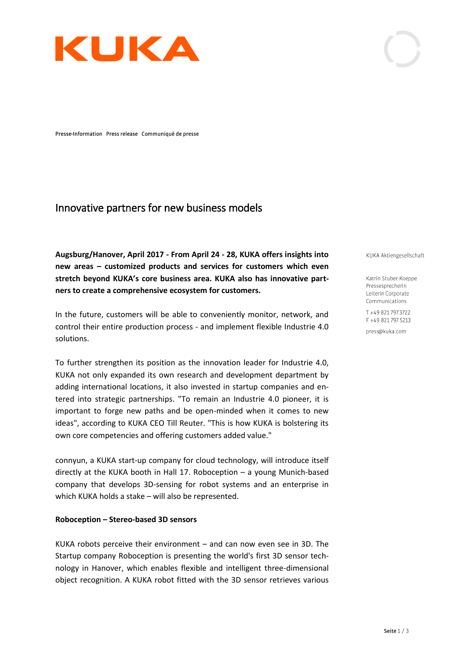

Presse-Information Press release Communiqué de presse

# Innovative partners for new business models

**Augsburg/Hanover, April 2017 - From April 24 - 28, KUKA offers insights into new areas** *–* **customized products and services for customers which even stretch beyond KUKA's core business area. KUKA also has innovative partners to create a comprehensive ecosystem for customers.** 

In the future, customers will be able to conveniently monitor, network, and control their entire production process - and implement flexible Industrie 4.0 solutions.

To further strengthen its position as the innovation leader for Industrie 4.0, KUKA not only expanded its own research and development department by adding international locations, it also invested in startup companies and entered into strategic partnerships. "To remain an Industrie 4.0 pioneer, it is important to forge new paths and be open-minded when it comes to new ideas", according to KUKA CEO Till Reuter. "This is how KUKA is bolstering its own core competencies and offering customers added value."

connyun, a KUKA start-up company for cloud technology, will introduce itself directly at the KUKA booth in Hall 17. Roboception – a young Munich-based company that develops 3D-sensing for robot systems and an enterprise in which KUKA holds a stake – will also be represented.

## **Roboception – Stereo-based 3D sensors**

KUKA robots perceive their environment – and can now even see in 3D. The Startup company Roboception is presenting the world's first 3D sensor technology in Hanover, which enables flexible and intelligent three-dimensional object recognition. A KUKA robot fitted with the 3D sensor retrieves various KUKA Aktiengesellschaft

Katrin Stuber-Koeppe Pressesprecherin Leiterin Corporate Communications

 $T + 49821797372$ F +49 821 797 5213

press@kuka.com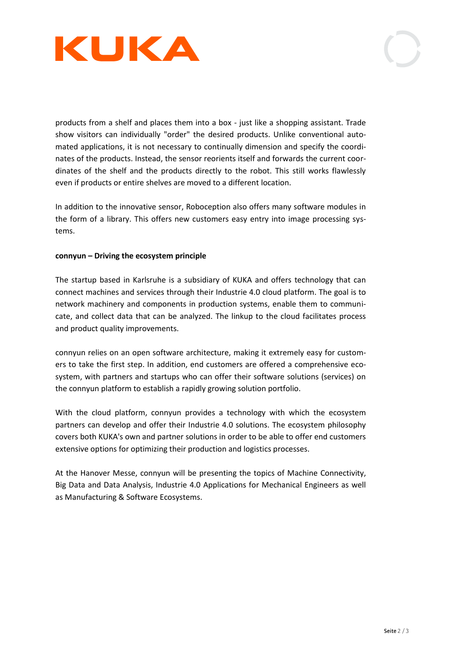

products from a shelf and places them into a box - just like a shopping assistant. Trade show visitors can individually "order" the desired products. Unlike conventional automated applications, it is not necessary to continually dimension and specify the coordinates of the products. Instead, the sensor reorients itself and forwards the current coordinates of the shelf and the products directly to the robot. This still works flawlessly even if products or entire shelves are moved to a different location.

In addition to the innovative sensor, Roboception also offers many software modules in the form of a library. This offers new customers easy entry into image processing systems.

# **connyun – Driving the ecosystem principle**

The startup based in Karlsruhe is a subsidiary of KUKA and offers technology that can connect machines and services through their Industrie 4.0 cloud platform. The goal is to network machinery and components in production systems, enable them to communicate, and collect data that can be analyzed. The linkup to the cloud facilitates process and product quality improvements.

connyun relies on an open software architecture, making it extremely easy for customers to take the first step. In addition, end customers are offered a comprehensive ecosystem, with partners and startups who can offer their software solutions (services) on the connyun platform to establish a rapidly growing solution portfolio.

With the cloud platform, connyun provides a technology with which the ecosystem partners can develop and offer their Industrie 4.0 solutions. The ecosystem philosophy covers both KUKA's own and partner solutions in order to be able to offer end customers extensive options for optimizing their production and logistics processes.

At the Hanover Messe, connyun will be presenting the topics of Machine Connectivity, Big Data and Data Analysis, Industrie 4.0 Applications for Mechanical Engineers as well as Manufacturing & Software Ecosystems.